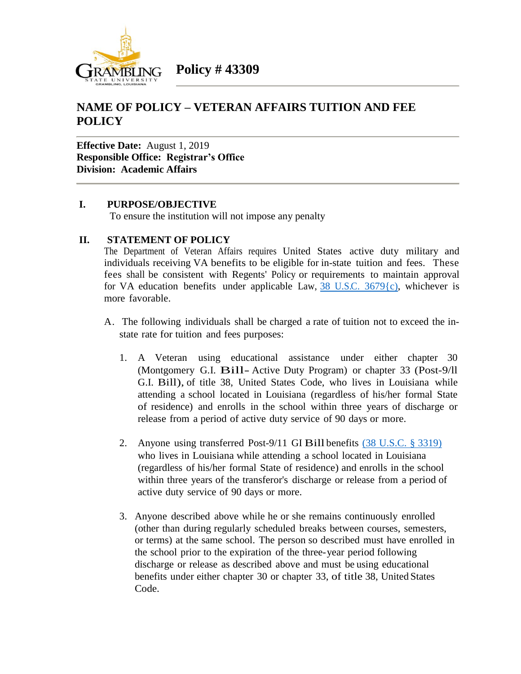

## **NAME OF POLICY – VETERAN AFFAIRS TUITION AND FEE POLICY**

**Effective Date:** August 1, 2019 **Responsible Office: Registrar's Office Division: Academic Affairs**

## **I. PURPOSE/OBJECTIVE**

To ensure the institution will not impose any penalty

## **II. STATEMENT OF POLICY**

The Department of Veteran Affairs requires United States active duty military and individuals receiving VA benefits to be eligible for in-state tuition and fees. These fees shall be consistent with Regents' Policy or requirements to maintain approval for VA education benefits under applicable Law,  $38 \text{ U.S.C. } 3679 \text{ (c)}$ , whichever is more favorable.

- A. The following individuals shall be charged a rate of tuition not to exceed the instate rate for tuition and fees purposes:
	- 1. A Veteran using educational assistance under either chapter 30 (Montgomery G.I. Bill- Active Duty Program) or chapter <sup>33</sup> (Post-9/ll G.I. Bill), of title 38, United States Code, who lives in Louisiana while attending a school located in Louisiana (regardless of his/her formal State of residence) and enrolls in the school within three years of discharge or release from a period of active duty service of 90 days or more.
	- 2. Anyone using transferred Post-9/11 GI Bill benefits (38 [U.S.C.](https://www.govregs.com/uscode/38/3319) § 3319) who lives in Louisiana while attending a school located in Louisiana (regardless of his/her formal State of residence) and enrolls in the school within three years of the transferor's discharge or release from a period of active duty service of 90 days or more.
	- 3. Anyone described above while he or she remains continuously enrolled (other than during regularly scheduled breaks between courses, semesters, or terms) at the same school. The person so described must have enrolled in the school prior to the expiration of the three-year period following discharge or release as described above and must be using educational benefits under either chapter 30 or chapter 33, of title 38, United States Code.